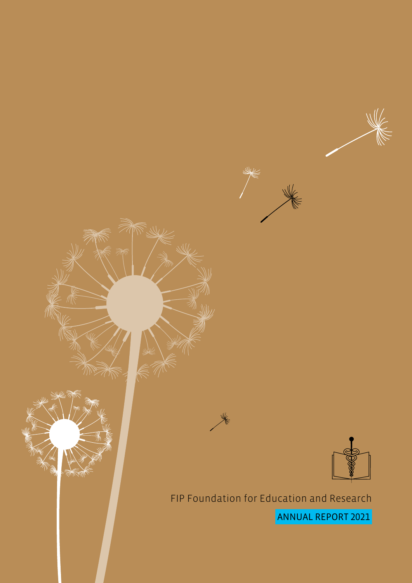

FIP Foundation for Education and Research ANNUAL REPORT 2021.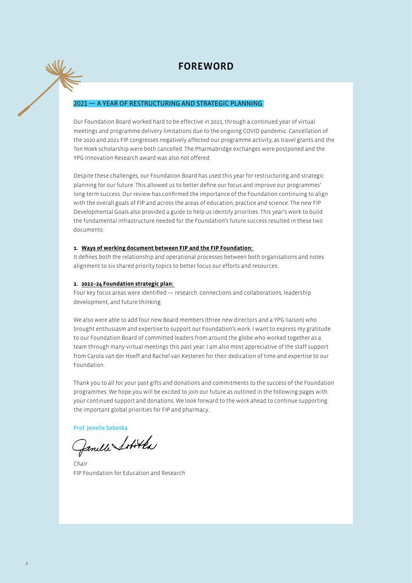## FOREWORD

## 2021 — A YEAR OF RESTRUCTURING AND STRATEGIC PLANNING

Our Foundation Board worked hard to be effective in 2021, through a continued year of virtual meetings and programme delivery limitations due to the ongoing COVID pandemic. Cancellation of the 2020 and 2021 FIP congresses negatively affected our programme activity, as travel grants and the Ton Hoek scholarship were both cancelled. The Pharmabridge exchanges were postponed and the YPG Innovation Research award was also not offered.

Despite these challenges, our Foundation Board has used this year for restructuring and strategic planning for our future. This allowed us to better define our focus and improve our programmes' long-term success. Our review has confirmed the importance of the Foundation continuing to align with the overall goals of FIP and across the areas of education, practice and science. The new FIP Developmental Goals also provided a guide to help us identify priorities. This year's work to build the fundamental infrastructure needed for the Foundation's future success resulted in these two documents:

## **1. Ways of working document between FIP and the FIP Foundation:**

It defines both the relationship and operational processes between both organisations and notes alignment to six shared priority topics to better focus our efforts and resources.

### **2. 2022–24 Foundation strategic plan:**

Four key focus areas were identified — research. connections and collaborations, leadership development, and future thinking.

We also were able to add four new Board members (three new directors and a YPG liaison) who brought enthusiasm and expertise to support our Foundation's work. I want to express my gratitude to our Foundation Board of committed leaders from around the globe who worked together as a team through many virtual meetings this past year. I am also most appreciative of the staff support from Carola van der Hoeff and Rachel van Kesteren for their dedication of time and expertise to our Foundation.

Thank you to all for your past gifts and donations and commitments to the success of the Foundation programmes. We hope you will be excited to join our future as outlined in the following pages with your continued support and donations. We look forward to the work ahead to continue supporting the important global priorities for FIP and pharmacy..

Prof. Jenelle Sobotka<br>Gemille Sofot Pa

*Chair* FIP Foundation for Education and Research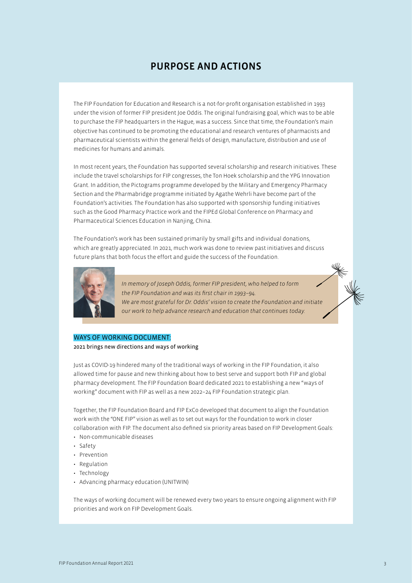# PURPOSE AND ACTIONS

The FIP Foundation for Education and Research is a not-for-profit organisation established in 1993 under the vision of former FIP president Joe Oddis. The original fundraising goal, which was to be able to purchase the FIP headquarters in the Hague, was a success. Since that time, the Foundation's main objective has continued to be promoting the educational and research ventures of pharmacists and pharmaceutical scientists within the general fields of design, manufacture, distribution and use of medicines for humans and animals.

In most recent years, the Foundation has supported several scholarship and research initiatives. These include the travel scholarships for FIP congresses, the Ton Hoek scholarship and the YPG Innovation Grant. In addition, the Pictograms programme developed by the Military and Emergency Pharmacy Section and the Pharmabridge programme initiated by Agathe Wehrli have become part of the Foundation's activities. The Foundation has also supported with sponsorship funding initiatives such as the Good Pharmacy Practice work and the FIPEd Global Conference on Pharmacy and Pharmaceutical Sciences Education in Nanjing, China.

The Foundation's work has been sustained primarily by small gifts and individual donations, which are greatly appreciated. In 2021, much work was done to review past initiatives and discuss future plans that both focus the effort and guide the success of the Foundation.



*In memory of Joseph Oddis, former FIP president, who helped to form the FIP Foundation and was its first chair in 1993–94. We are most grateful for Dr. Oddis' vision to create the Foundation and initiate our work to help advance research and education that continues today.* 

## WAYS OF WORKING DOCUMENT:

2021 brings new directions and ways of working

Just as COVID-19 hindered many of the traditional ways of working in the FIP Foundation, it also allowed time for pause and new thinking about how to best serve and support both FIP and global pharmacy development. The FIP Foundation Board dedicated 2021 to establishing a new "ways of working" document with FIP as well as a new 2022–24 FIP Foundation strategic plan.

Together, the FIP Foundation Board and FIP ExCo developed that document to align the Foundation work with the "ONE FIP" vision as well as to set out ways for the Foundation to work in closer collaboration with FIP. The document also defined six priority areas based on FIP Development Goals:

- Non-communicable diseases
- Safety
- Prevention
- Regulation
- Technology
- Advancing pharmacy education (UNITWIN)

The ways of working document will be renewed every two years to ensure ongoing alignment with FIP priorities and work on FIP Development Goals.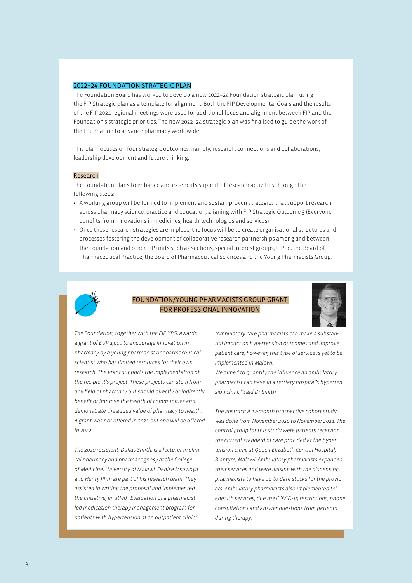#### 2022–24 FOUNDATION STRATEGIC PLAN

The Foundation Board has worked to develop a new 2022–24 Foundation strategic plan, using the FIP Strategic plan as a template for alignment. Both the FIP Developmental Goals and the results of the FIP 2021 regional meetings were used for additional focus and alignment between FIP and the Foundation's strategic priorities. The new 2022–24 strategic plan was finalised to guide the work of the Foundation to advance pharmacy worldwide.

This plan focuses on four strategic outcomes, namely, research, connections and collaborations, leadership development and future thinking.

#### Research

The Foundation plans to enhance and extend its support of research activities through the following steps:

- A working group will be formed to implement and sustain proven strategies that support research across pharmacy science, practice and education, aligning with FIP Strategic Outcome 3 (Everyone benefits from innovations in medicines, health technologies and services).
- Once these research strategies are in place, the focus will be to create organisational structures and processes fostering the development of collaborative research partnerships among and between the Foundation and other FIP units such as sections, special interest groups, FIPEd, the Board of Pharmaceutical Practice, the Board of Pharmaceutical Sciences and the Young Pharmacists Group.



## FOUNDATION/YOUNG PHARMACISTS GROUP GRANT FOR PROFESSIONAL INNOVATION



*The Foundation, together with the FIP YPG, awards a grant of EUR 1,000 to encourage innovation in pharmacy by a young pharmacist or pharmaceutical scientist who has limited resources for their own research. The grant supports the implementation of the recipient's project. These projects can stem from any field of pharmacy but should directly or indirectly benefit or improve the health of communities and demonstrate the added value of pharmacy to health. A grant was not offered in 2021 but one will be offered in 2022.* 

*The 2020 recipient, Dallas Smith, is a lecturer in clinical pharmacy and pharmacognosy at the College of Medicine, University of Malawi. Denise Msowoya and Henry Phiri are part of his research team. They assisted in writing the proposal and implemented the initiative, entitled "Evaluation of a pharmacistled medication therapy management program for patients with hypertension at an outpatient clinic".*

*"Ambulatory care pharmacists can make a substantial impact on hypertension outcomes and improve patient care; however, this type of service is yet to be implemented in Malawi.* 

*We aimed to quantify the influence an ambulatory pharmacist can have in a tertiary hospital's hypertension clinic," said Dr Smith.* 

*The abstract: A 12-month prospective cohort study was done from November 2020 to November 2021. The control group for this study were patients receiving the current standard of care provided at the hypertension clinic at Queen Elizabeth Central Hospital, Blantyre, Malawi. Ambulatory pharmacists expanded their services and were liaising with the dispensing pharmacists to have up-to-date stocks for the providers. Ambulatory pharmacists also implemented telehealth services, due the COVID-19 restrictions, phone consultations and answer questions from patients during therapy.*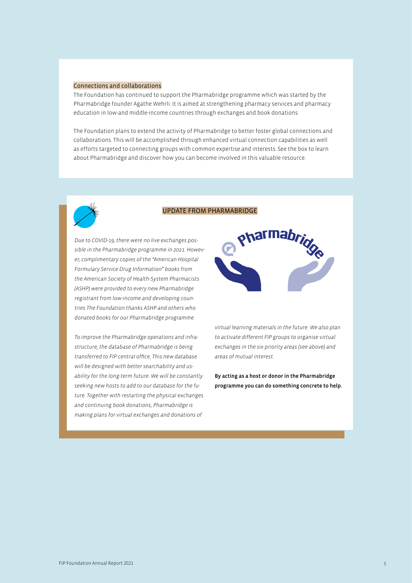#### Connections and collaborations

The Foundation has continued to support the Pharmabridge programme which was started by the Pharmabridge founder Agathe Wehrli. It is aimed at strengthening pharmacy services and pharmacy education in low-and middle-income countries through exchanges and book donations.

The Foundation plans to extend the activity of Pharmabridge to better foster global connections and collaborations. This will be accomplished through enhanced virtual connection capabilities as well as efforts targeted to connecting groups with common expertise and interests. See the box to learn about Pharmabridge and discover how you can become involved in this valuable resource.



## UPDATE FROM PHARMABRIDGE

*Due to COVID-19, there were no live exchanges possible in the Pharmabridge programme in 2021. However, complimentary copies of the "American Hospital Formulary Service Drug Information" books from the American Society of Health-System Pharmacists (ASHP) were provided to every new Pharmabridge registrant from low-income and developing countries The Foundation thanks ASHP and others who donated books for our Pharmabridge programme.* 

*To improve the Pharmabridge operations and infrastructure, the database of Pharmabridge is being transferred to FIP central office. This new database will be designed with better searchability and usability for the long-term future. We will be constantly seeking new hosts to add to our database for the future. Together with restarting the physical exchanges and continuing book donations, Pharmabridge is making plans for virtual exchanges and donations of* 



*virtual learning materials in the future. We also plan to activate different FIP groups to organise virtual exchanges in the six priority areas (see above) and areas of mutual interest.* 

By acting as a host or donor in the Pharmabridge programme you can do something concrete to help.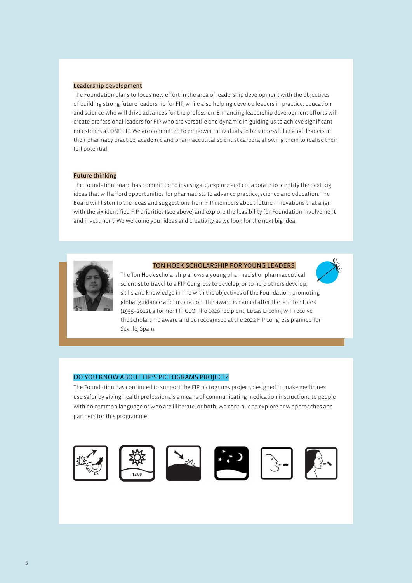#### Leadership development

The Foundation plans to focus new effort in the area of leadership development with the objectives of building strong future leadership for FIP, while also helping develop leaders in practice, education and science who will drive advances for the profession. Enhancing leadership development efforts will create professional leaders for FIP who are versatile and dynamic in guiding us to achieve significant milestones as ONE FIP. We are committed to empower individuals to be successful change leaders in their pharmacy practice, academic and pharmaceutical scientist careers, allowing them to realise their full potential.

#### Future thinking

The Foundation Board has committed to investigate, explore and collaborate to identify the next big ideas that will afford opportunities for pharmacists to advance practice, science and education. The Board will listen to the ideas and suggestions from FIP members about future innovations that align with the six identified FIP priorities (see above) and explore the feasibility for Foundation involvement and investment. We welcome your ideas and creativity as we look for the next big idea.



#### TON HOEK SCHOLARSHIP FOR YOUNG LEADERS

The Ton Hoek scholarship allows a young pharmacist or pharmaceutical scientist to travel to a FIP Congress to develop, or to help others develop, skills and knowledge in line with the objectives of the Foundation, promoting global guidance and inspiration. The award is named after the late Ton Hoek (1955–2012), a former FIP CEO. The 2020 recipient, Lucas Ercolin, will receive the scholarship award and be recognised at the 2022 FIP congress planned for Seville, Spain.

### DO YOU KNOW ABOUT FIP'S PICTOGRAMS PROJECT?

The Foundation has continued to support the FIP pictograms project, designed to make medicines use safer by giving health professionals a means of communicating medication instructions to people with no common language or who are illiterate, or both. We continue to explore new approaches and partners for this programme.

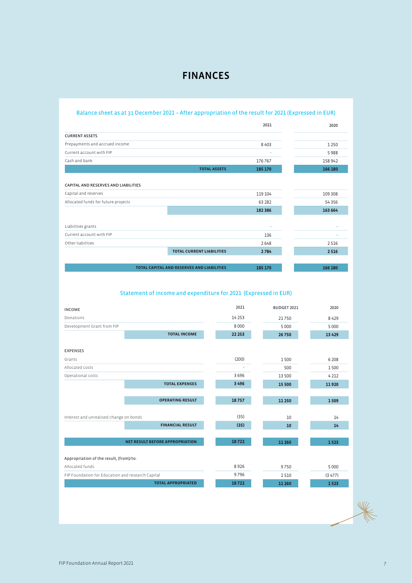## Balance sheet as at 31 December 2021 – After appropriation of the result for 2021 (Expressed in EUR)

|                                                   |                                  | 2021    | 2020    |
|---------------------------------------------------|----------------------------------|---------|---------|
| <b>CURRENT ASSETS</b>                             |                                  |         |         |
| Prepayments and accrued income                    |                                  | 8403    | 1250    |
| Current account with FIP                          |                                  |         | 5988    |
| Cash and bank                                     |                                  | 176 767 | 158 942 |
|                                                   | <b>TOTAL ASSETS</b>              | 185 170 | 166 180 |
|                                                   |                                  |         |         |
| CAPITAL AND RESERVES AND LIABILITIES              |                                  |         |         |
| Capital and reserves                              |                                  | 119 104 | 109 308 |
| Allocated funds for future projects               |                                  | 63 28 2 | 54 3 56 |
|                                                   |                                  | 182 386 | 163 664 |
|                                                   |                                  |         |         |
| Liabilities grants                                |                                  | ٠       |         |
| Current account with FIP                          |                                  | 136     |         |
| Other liabilities                                 |                                  | 2648    | 2516    |
|                                                   | <b>TOTAL CURRENT LIABILITIES</b> | 2784    | 2 5 1 6 |
|                                                   |                                  |         |         |
| <b>TOTAL CAPITAL AND RESERVES AND LIABILITIES</b> |                                  | 185 170 | 166 180 |

## Statement of income and expenditure for 2021 (Expressed in EUR)

| <b>INCOME</b>                                     |                           | 2021     | BUDGET 2021 | 2020    |
|---------------------------------------------------|---------------------------|----------|-------------|---------|
| Donations                                         |                           | 14 2 5 3 | 21750       | 8429    |
| Development Grant from FIP                        |                           | 8 0 0 0  | 5 0 0 0     | 5 0 0 0 |
|                                                   | <b>TOTAL INCOME</b>       | 22 253   | 26 750      | 13 4 29 |
|                                                   |                           |          |             |         |
| <b>EXPENSES</b>                                   |                           |          |             |         |
| Grants                                            |                           | (200)    | 1500        | 6 208   |
| Allocated costs                                   |                           |          | 500         | 1500    |
| Operational costs                                 |                           | 3696     | 13 500      | 4 2 1 2 |
|                                                   | <b>TOTAL EXPENSES</b>     | 3 4 9 6  | 15 500      | 11920   |
|                                                   |                           |          |             |         |
|                                                   | <b>OPERATING RESULT</b>   | 18757    | 11 250      | 1509    |
|                                                   |                           |          |             |         |
| Interest and unrealised change on bonds           |                           | (35)     | 10          | 14      |
|                                                   | <b>FINANCIAL RESULT</b>   | (35)     | 10          | 14      |
|                                                   |                           |          |             |         |
| <b>NET RESULT BEFORE APPROPRIATION</b>            |                           | 18722    | 11 260      | 1523    |
|                                                   |                           |          |             |         |
| Appropriation of the result, (from)/to:           |                           |          |             |         |
| Allocated funds                                   |                           | 8926     | 9750        | 5 0 0 0 |
| FIP Foundation for Education and research Capital |                           | 9796     | 1510        | (3477)  |
|                                                   | <b>TOTAL APPROPRIATED</b> | 18722    | 11 260      | 1523    |

WV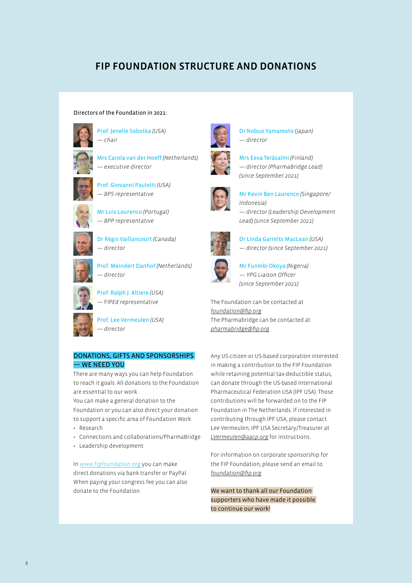# FIP FOUNDATION STRUCTURE AND DONATIONS

#### Directors of the Foundation in 2021:



Prof. Jenelle Sobotka *(USA) — chair*



Mrs Carola van der Hoeff *(Netherlands) — executive director*







Mr Luis Lourenco *(Portugal) — BPP representative*



Dr Régis Vaillancourt *(Canada) — director*



Prof. Meindert Danhof *(Netherlands) — director*

Prof .Ralph J. Altiere *(USA) —* FIP*Ed representative*

Prof. Lee Vermeulen *(USA) — director*

## DONATIONS, GIFTS AND SPONSORSHIPS — WE NEED YOU

There are many ways you can help Foundation to reach it goals. All donations to the Foundation are essential to our work.

You can make a general donation to the Foundation or you can also direct your donation to support a specific area of Foundation Work:

- Research
- Connections and collaborations/PharmaBridge
- Leadership development

In www.fipfoundation.org you can make direct donations via bank transfer or PayPal. When paying your congress fee you can also donate to the Foundation.



Dr Nobuo Yamamoto *(Japan) — director*

Mrs Eeva Teräsalmi *(Finland) — director (PharmaBridge Lead) (since September 2021)*



Mr Kevin Ben Laurence *(Singapore/ Indonesia) — director (Leadership Development Lead) (since September 2021)*

Dr Linda Garrelts MacLean *(USA) — director (since September 2021)*





Mr Funmbi Okoya *(Nigeria) — YPG Liaison Officer (since September 2021)*

The Foundation can be contacted at *[foundation@fip.org](mailto:foundation%40fip.org?subject=)* The Pharmabridge can be contacted at *[pharmabridge@fip.org](mailto:pharmabridge%40fip.org?subject=)*

Any US citizen or US-based corporation interested in making a contribution to the FIP Foundation while retaining potential tax-deductible status, can donate through the US-based International Pharmaceutical Federation USA (IPF USA). Those contributions will be forwarded on to the FIP Foundation in The Netherlands. If interested in contributing through IPF USA, please contact Lee Vermeulen, IPF USA Secretary/Treasurer at *[LVermeulen@aacp.org](mailto:LVermeulen%40aacp.org?subject=)* for instructions.

For information on corporate sponsorship for the FIP Foundation, please send an email to *[foundation@fip.org](mailto:foundation%40fip.org?subject=)*

We want to thank all our Foundation supporters who have made it possible to continue our work!